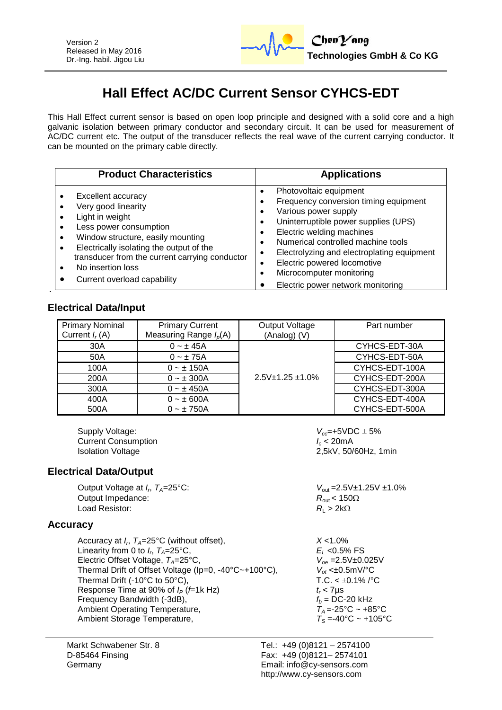

# **Hall Effect AC/DC Current Sensor CYHCS-EDT**

This Hall Effect current sensor is based on open loop principle and designed with a solid core and a high galvanic isolation between primary conductor and secondary circuit. It can be used for measurement of AC/DC current etc. The output of the transducer reflects the real wave of the current carrying conductor. It can be mounted on the primary cable directly.

| <b>Product Characteristics</b>                                                                                                                                                                                                                                                                                                   | <b>Applications</b>                                                                                                                                                                                                                                                                                                                                                                                      |
|----------------------------------------------------------------------------------------------------------------------------------------------------------------------------------------------------------------------------------------------------------------------------------------------------------------------------------|----------------------------------------------------------------------------------------------------------------------------------------------------------------------------------------------------------------------------------------------------------------------------------------------------------------------------------------------------------------------------------------------------------|
| <b>Excellent accuracy</b><br>Very good linearity<br>Light in weight<br>٠<br>Less power consumption<br>$\bullet$<br>Window structure, easily mounting<br>$\bullet$<br>Electrically isolating the output of the<br>$\bullet$<br>transducer from the current carrying conductor<br>No insertion loss<br>Current overload capability | Photovoltaic equipment<br>$\bullet$<br>Frequency conversion timing equipment<br>٠<br>Various power supply<br>٠<br>Uninterruptible power supplies (UPS)<br>٠<br>Electric welding machines<br>٠<br>Numerical controlled machine tools<br>$\bullet$<br>Electrolyzing and electroplating equipment<br>٠<br>Electric powered locomotive<br>٠<br>Microcomputer monitoring<br>Electric power network monitoring |

## **Electrical Data/Input**

| <b>Primary Nominal</b><br>Current $I_r(A)$ | <b>Primary Current</b><br>Measuring Range $I_p(A)$ | Output Voltage<br>(Analog) (V) | Part number    |
|--------------------------------------------|----------------------------------------------------|--------------------------------|----------------|
| 30A                                        | $0 - \pm 45A$                                      |                                | CYHCS-EDT-30A  |
| 50A                                        | $0 - \pm 75A$                                      |                                | CYHCS-EDT-50A  |
| 100A                                       | $0 - \pm 150A$                                     |                                | CYHCS-EDT-100A |
| 200A                                       | $0 - \pm 300A$                                     | $2.5V \pm 1.25 \pm 1.0\%$      | CYHCS-EDT-200A |
| 300A                                       | $0 - \pm 450A$                                     |                                | CYHCS-EDT-300A |
| 400A                                       | $0 - \pm 600A$                                     |                                | CYHCS-EDT-400A |
| 500A                                       | $0 - 1750A$                                        |                                | CYHCS-EDT-500A |

Supply Voltage:  $V_{cc}$ =+5VDC ± 5%<br>Current Consumption  $V_c$  = 45VDC ± 5% **Current Consumption**<br>**Isolation Voltage** 

# **Electrical Data/Output**

Output Voltage at *I<sub>r</sub>*,  $T_A = 25^{\circ}$ C: Output Impedance:  $R_{\text{out}} < 150\Omega$ Load Resistor:  $R_1 > 2k\Omega$ 

### **Accuracy**

|  | Linearity from 0 to $I_n$ , $T_A = 25$ °C,<br>$E_1$ <0.5% FS<br>Electric Offset Voltage, $T_A = 25^{\circ}C$ ,<br>Thermal Drift of Offset Voltage (Ip=0, -40°C~+100°C),<br>Thermal Drift (-10°C to 50°C),<br>Response Time at 90% of $I_P$ ( $f=1k$ Hz)<br>Frequency Bandwidth (-3dB),<br>Ambient Operating Temperature,<br>Ambient Storage Temperature, | $V_{oe} = 2.5V \pm 0.025V$<br>$V_{\text{ot}} < \pm 0.5$ m $V$ /°C<br>T.C. < $\pm$ 0.1% /°C<br>$t_r$ < 7 $\mu$ s<br>$f_b = DC-20$ kHz<br>$T_A = -25$ °C ~ +85°C<br>$T_S = -40$ °C ~ +105°C |
|--|----------------------------------------------------------------------------------------------------------------------------------------------------------------------------------------------------------------------------------------------------------------------------------------------------------------------------------------------------------|-------------------------------------------------------------------------------------------------------------------------------------------------------------------------------------------|
|--|----------------------------------------------------------------------------------------------------------------------------------------------------------------------------------------------------------------------------------------------------------------------------------------------------------------------------------------------------------|-------------------------------------------------------------------------------------------------------------------------------------------------------------------------------------------|

Markt Schwabener Str. 8 D-85464 Finsing Germany

Tel.: +49 (0)8121 – 2574100 Fax: +49 (0)8121– 2574101 Email: info@cy-sensors.com http://www.cy-sensors.com

2,5kV, 50/60Hz, 1min

 $V_{\text{out}} = 2.5V \pm 1.25V \pm 1.0\%$